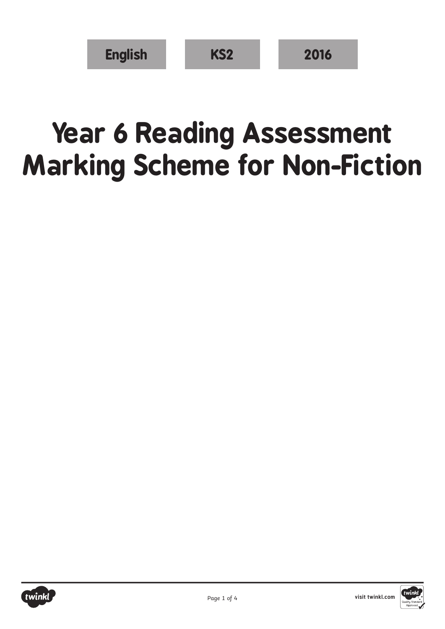## **Year 6 Reading Assessment Marking Scheme for Non-Fiction**



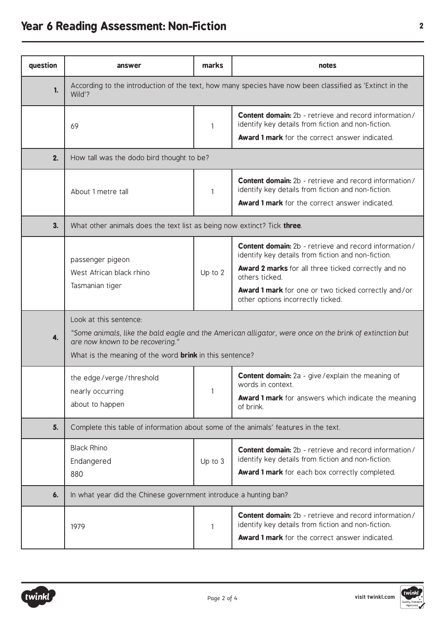## **Year 6 Reading Assessment: Non-Fiction <sup>2</sup>**

| question | answer                                                                                                                                                                                                                                  | marks   | notes                                                                                                                                                                                                                                                                                   |  |  |
|----------|-----------------------------------------------------------------------------------------------------------------------------------------------------------------------------------------------------------------------------------------|---------|-----------------------------------------------------------------------------------------------------------------------------------------------------------------------------------------------------------------------------------------------------------------------------------------|--|--|
| 1.       | According to the introduction of the text, how many species have now been classified as 'Extinct in the<br>Wild'?                                                                                                                       |         |                                                                                                                                                                                                                                                                                         |  |  |
|          | 69                                                                                                                                                                                                                                      | 1       | <b>Content domain:</b> 2b - retrieve and record information/<br>identify key details from fiction and non-fiction.                                                                                                                                                                      |  |  |
|          |                                                                                                                                                                                                                                         |         | Award 1 mark for the correct answer indicated.                                                                                                                                                                                                                                          |  |  |
| 2.       | How tall was the dodo bird thought to be?                                                                                                                                                                                               |         |                                                                                                                                                                                                                                                                                         |  |  |
|          | About 1 metre tall                                                                                                                                                                                                                      | 1       | <b>Content domain:</b> 2b - retrieve and record information/<br>identify key details from fiction and non-fiction.<br><b>Award 1 mark</b> for the correct answer indicated.                                                                                                             |  |  |
| 3.       | What other animals does the text list as being now extinct? Tick three.                                                                                                                                                                 |         |                                                                                                                                                                                                                                                                                         |  |  |
|          | passenger pigeon<br>West African black rhino<br>Tasmanian tiger                                                                                                                                                                         | Up to 2 | <b>Content domain:</b> 2b - retrieve and record information/<br>identify key details from fiction and non-fiction.<br>Award 2 marks for all three ticked correctly and no<br>others ticked.<br>Award 1 mark for one or two ticked correctly and/or<br>other options incorrectly ticked. |  |  |
| 4.       | Look at this sentence:<br>"Some animals, like the bald eagle and the American alligator, were once on the brink of extinction but<br>are now known to be recovering."<br>What is the meaning of the word <b>brink</b> in this sentence? |         |                                                                                                                                                                                                                                                                                         |  |  |
|          | the edge/verge/threshold<br>nearly occurring<br>about to happen                                                                                                                                                                         | 1       | <b>Content domain:</b> 2a - give / explain the meaning of<br>words in context.<br>Award 1 mark for answers which indicate the meaning<br>of brink.                                                                                                                                      |  |  |
| 5.       | Complete this table of information about some of the animals' features in the text.                                                                                                                                                     |         |                                                                                                                                                                                                                                                                                         |  |  |
|          | <b>Black Rhino</b><br>Endangered<br>880                                                                                                                                                                                                 | Up to 3 | <b>Content domain:</b> 2b - retrieve and record information/<br>identify key details from fiction and non-fiction.<br>Award 1 mark for each box correctly completed.                                                                                                                    |  |  |
| 6.       | In what year did the Chinese government introduce a hunting ban?                                                                                                                                                                        |         |                                                                                                                                                                                                                                                                                         |  |  |
|          | 1979                                                                                                                                                                                                                                    | 1       | <b>Content domain:</b> 2b - retrieve and record information/<br>identify key details from fiction and non-fiction.<br>Award 1 mark for the correct answer indicated.                                                                                                                    |  |  |

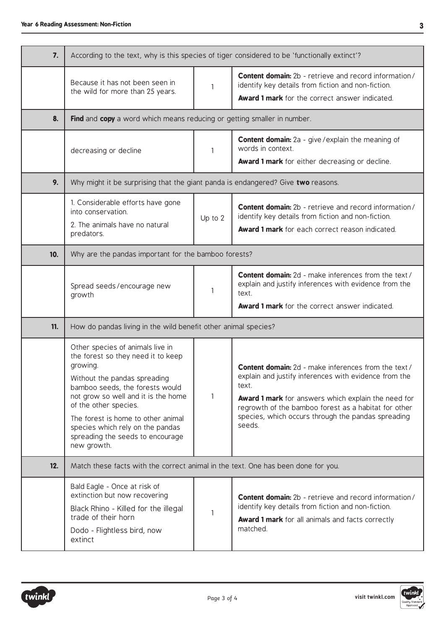| 7.  | According to the text, why is this species of tiger considered to be 'functionally extinct'?                                                                                                                                                                                                                                                       |              |                                                                                                                                                                                                                                                                                                              |  |  |
|-----|----------------------------------------------------------------------------------------------------------------------------------------------------------------------------------------------------------------------------------------------------------------------------------------------------------------------------------------------------|--------------|--------------------------------------------------------------------------------------------------------------------------------------------------------------------------------------------------------------------------------------------------------------------------------------------------------------|--|--|
|     | Because it has not been seen in<br>the wild for more than 25 years.                                                                                                                                                                                                                                                                                | $\mathbf{1}$ | <b>Content domain:</b> 2b - retrieve and record information/<br>identify key details from fiction and non-fiction.<br>Award 1 mark for the correct answer indicated.                                                                                                                                         |  |  |
| 8.  | Find and copy a word which means reducing or getting smaller in number.                                                                                                                                                                                                                                                                            |              |                                                                                                                                                                                                                                                                                                              |  |  |
|     | decreasing or decline                                                                                                                                                                                                                                                                                                                              | 1            | <b>Content domain:</b> 2a - give / explain the meaning of<br>words in context.<br>Award 1 mark for either decreasing or decline.                                                                                                                                                                             |  |  |
| 9.  | Why might it be surprising that the giant panda is endangered? Give two reasons.                                                                                                                                                                                                                                                                   |              |                                                                                                                                                                                                                                                                                                              |  |  |
|     | 1. Considerable efforts have gone<br>into conservation.<br>2. The animals have no natural<br>predators.                                                                                                                                                                                                                                            | Up to $2$    | <b>Content domain:</b> 2b - retrieve and record information/<br>identify key details from fiction and non-fiction.<br>Award 1 mark for each correct reason indicated.                                                                                                                                        |  |  |
| 10. | Why are the pandas important for the bamboo forests?                                                                                                                                                                                                                                                                                               |              |                                                                                                                                                                                                                                                                                                              |  |  |
|     | Spread seeds/encourage new<br>growth                                                                                                                                                                                                                                                                                                               | $\mathbf{1}$ | <b>Content domain:</b> 2d - make inferences from the text /<br>explain and justify inferences with evidence from the<br>text.<br>Award 1 mark for the correct answer indicated.                                                                                                                              |  |  |
| 11. | How do pandas living in the wild benefit other animal species?                                                                                                                                                                                                                                                                                     |              |                                                                                                                                                                                                                                                                                                              |  |  |
|     | Other species of animals live in<br>the forest so they need it to keep<br>growing.<br>Without the pandas spreading<br>bamboo seeds, the forests would<br>not grow so well and it is the home<br>of the other species.<br>The forest is home to other animal<br>species which rely on the pandas<br>spreading the seeds to encourage<br>new growth. | $\mathbf{1}$ | Content domain: 2d - make inferences from the text /<br>explain and justify inferences with evidence from the<br>text.<br><b>Award 1 mark</b> for answers which explain the need for<br>regrowth of the bamboo forest as a habitat for other<br>species, which occurs through the pandas spreading<br>seeds. |  |  |
| 12. | Match these facts with the correct animal in the text. One has been done for you.                                                                                                                                                                                                                                                                  |              |                                                                                                                                                                                                                                                                                                              |  |  |
|     | Bald Eagle - Once at risk of<br>extinction but now recovering<br>Black Rhino - Killed for the illegal<br>trade of their horn<br>Dodo - Flightless bird, now<br>extinct                                                                                                                                                                             | $\mathbf{1}$ | <b>Content domain:</b> 2b - retrieve and record information/<br>identify key details from fiction and non-fiction.<br><b>Award 1 mark</b> for all animals and facts correctly<br>matched.                                                                                                                    |  |  |